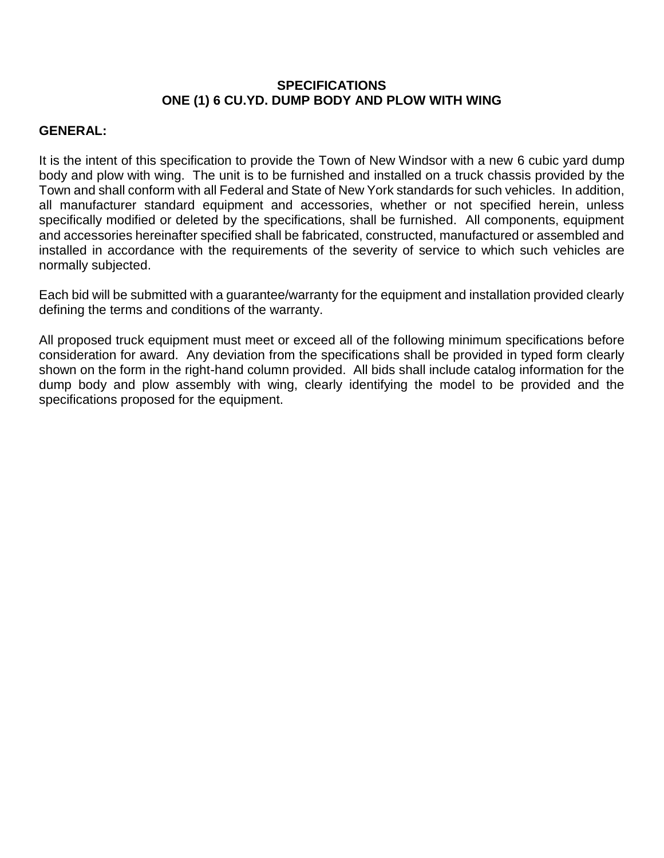#### **SPECIFICATIONS ONE (1) 6 CU.YD. DUMP BODY AND PLOW WITH WING**

#### **GENERAL:**

It is the intent of this specification to provide the Town of New Windsor with a new 6 cubic yard dump body and plow with wing. The unit is to be furnished and installed on a truck chassis provided by the Town and shall conform with all Federal and State of New York standards for such vehicles. In addition, all manufacturer standard equipment and accessories, whether or not specified herein, unless specifically modified or deleted by the specifications, shall be furnished. All components, equipment and accessories hereinafter specified shall be fabricated, constructed, manufactured or assembled and installed in accordance with the requirements of the severity of service to which such vehicles are normally subjected.

Each bid will be submitted with a guarantee/warranty for the equipment and installation provided clearly defining the terms and conditions of the warranty.

All proposed truck equipment must meet or exceed all of the following minimum specifications before consideration for award. Any deviation from the specifications shall be provided in typed form clearly shown on the form in the right-hand column provided. All bids shall include catalog information for the dump body and plow assembly with wing, clearly identifying the model to be provided and the specifications proposed for the equipment.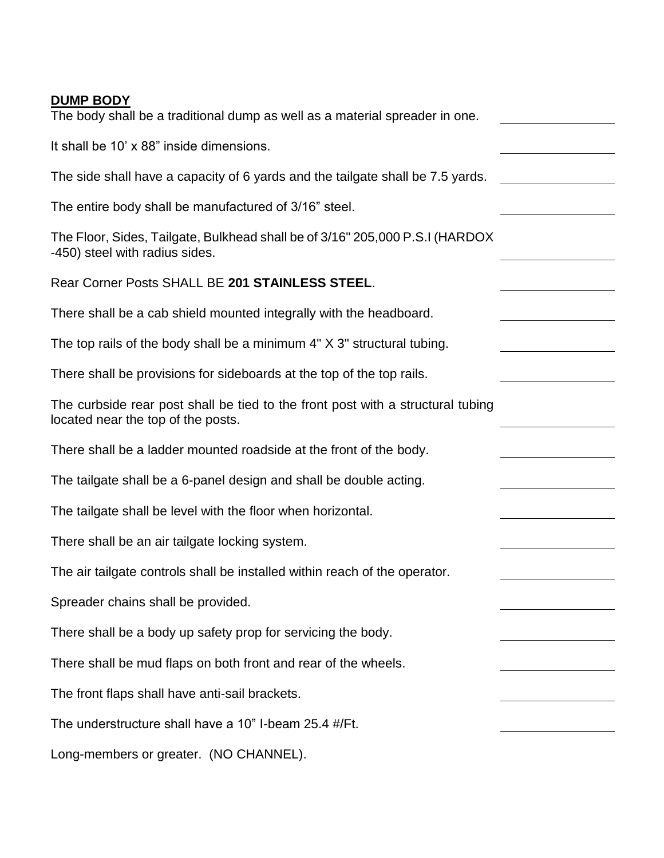# **DUMP BODY**

| The body shall be a traditional dump as well as a material spreader in one.                                           |  |
|-----------------------------------------------------------------------------------------------------------------------|--|
| It shall be 10' x 88" inside dimensions.                                                                              |  |
| The side shall have a capacity of 6 yards and the tailgate shall be 7.5 yards.                                        |  |
| The entire body shall be manufactured of 3/16" steel.                                                                 |  |
| The Floor, Sides, Tailgate, Bulkhead shall be of 3/16" 205,000 P.S.I (HARDOX<br>-450) steel with radius sides.        |  |
| Rear Corner Posts SHALL BE 201 STAINLESS STEEL.                                                                       |  |
| There shall be a cab shield mounted integrally with the headboard.                                                    |  |
| The top rails of the body shall be a minimum $4"$ $X$ $3"$ structural tubing.                                         |  |
| There shall be provisions for sideboards at the top of the top rails.                                                 |  |
| The curbside rear post shall be tied to the front post with a structural tubing<br>located near the top of the posts. |  |
| There shall be a ladder mounted roadside at the front of the body.                                                    |  |
| The tailgate shall be a 6-panel design and shall be double acting.                                                    |  |
| The tailgate shall be level with the floor when horizontal.                                                           |  |
| There shall be an air tailgate locking system.                                                                        |  |
| The air tailgate controls shall be installed within reach of the operator.                                            |  |
| Spreader chains shall be provided.                                                                                    |  |
| There shall be a body up safety prop for servicing the body.                                                          |  |
| There shall be mud flaps on both front and rear of the wheels.                                                        |  |
| The front flaps shall have anti-sail brackets.                                                                        |  |
| The understructure shall have a 10" I-beam 25.4 #/Ft.                                                                 |  |
|                                                                                                                       |  |

Long-members or greater. (NO CHANNEL).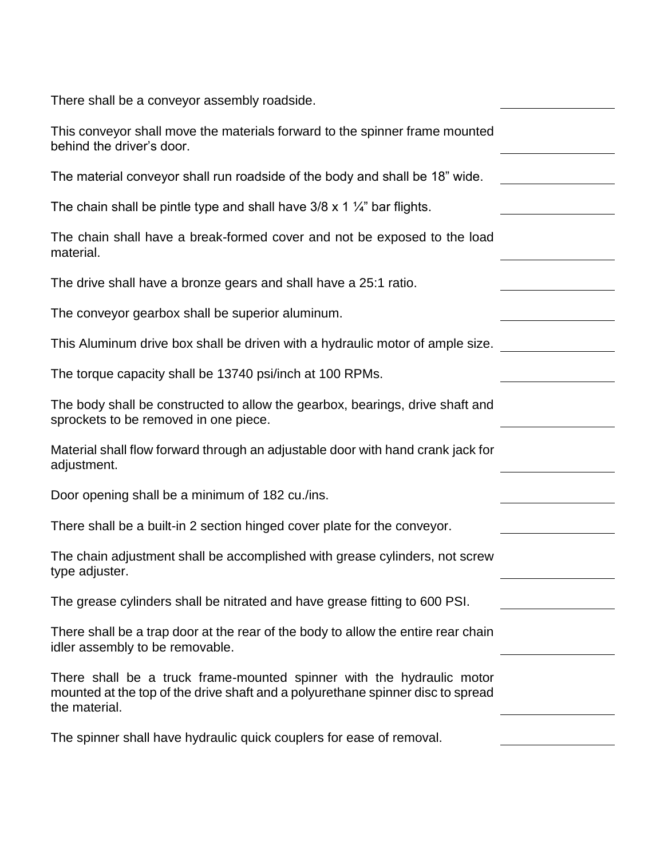There shall be a conveyor assembly roadside.

| This conveyor shall move the materials forward to the spinner frame mounted<br>behind the driver's door.                                                                  |  |
|---------------------------------------------------------------------------------------------------------------------------------------------------------------------------|--|
| The material conveyor shall run roadside of the body and shall be 18" wide.                                                                                               |  |
| The chain shall be pintle type and shall have $3/8 \times 1 \frac{1}{4}$ " bar flights.                                                                                   |  |
| The chain shall have a break-formed cover and not be exposed to the load<br>material.                                                                                     |  |
| The drive shall have a bronze gears and shall have a 25:1 ratio.                                                                                                          |  |
| The conveyor gearbox shall be superior aluminum.                                                                                                                          |  |
| This Aluminum drive box shall be driven with a hydraulic motor of ample size.                                                                                             |  |
| The torque capacity shall be 13740 psi/inch at 100 RPMs.                                                                                                                  |  |
| The body shall be constructed to allow the gearbox, bearings, drive shaft and<br>sprockets to be removed in one piece.                                                    |  |
| Material shall flow forward through an adjustable door with hand crank jack for<br>adjustment.                                                                            |  |
| Door opening shall be a minimum of 182 cu./ins.                                                                                                                           |  |
| There shall be a built-in 2 section hinged cover plate for the conveyor.                                                                                                  |  |
| The chain adjustment shall be accomplished with grease cylinders, not screw<br>type adjuster.                                                                             |  |
| The grease cylinders shall be nitrated and have grease fitting to 600 PSI.                                                                                                |  |
| There shall be a trap door at the rear of the body to allow the entire rear chain<br>idler assembly to be removable.                                                      |  |
| There shall be a truck frame-mounted spinner with the hydraulic motor<br>mounted at the top of the drive shaft and a polyurethane spinner disc to spread<br>the material. |  |
| The spinner shall have hydraulic quick couplers for ease of removal.                                                                                                      |  |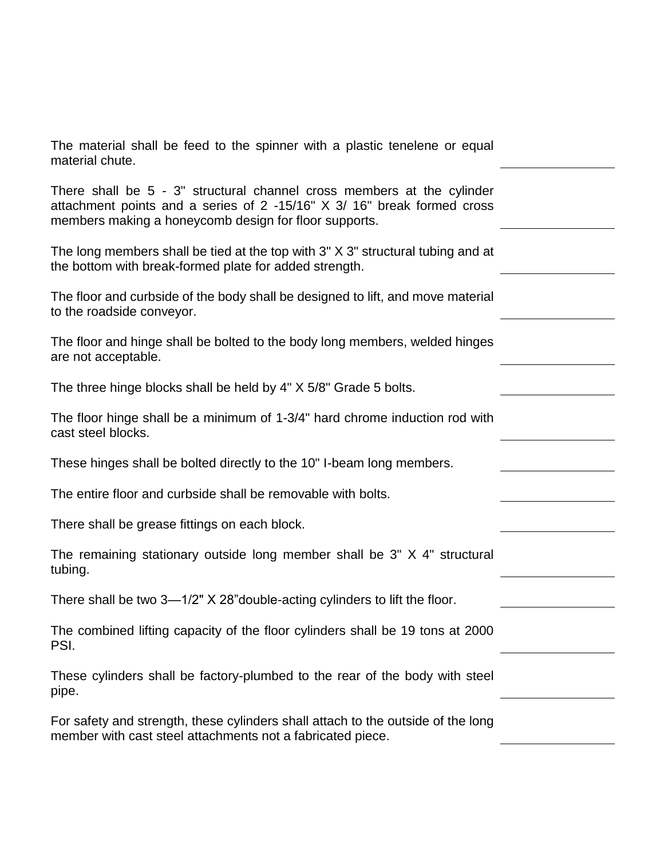| The material shall be feed to the spinner with a plastic tenelene or equal<br>material chute.                                                                                                              |  |
|------------------------------------------------------------------------------------------------------------------------------------------------------------------------------------------------------------|--|
| There shall be 5 - 3" structural channel cross members at the cylinder<br>attachment points and a series of 2 -15/16" X 3/ 16" break formed cross<br>members making a honeycomb design for floor supports. |  |
| The long members shall be tied at the top with 3" X 3" structural tubing and at<br>the bottom with break-formed plate for added strength.                                                                  |  |
| The floor and curbside of the body shall be designed to lift, and move material<br>to the roadside conveyor.                                                                                               |  |
| The floor and hinge shall be bolted to the body long members, welded hinges<br>are not acceptable.                                                                                                         |  |
| The three hinge blocks shall be held by 4" X 5/8" Grade 5 bolts.                                                                                                                                           |  |
| The floor hinge shall be a minimum of 1-3/4" hard chrome induction rod with<br>cast steel blocks.                                                                                                          |  |
|                                                                                                                                                                                                            |  |
| These hinges shall be bolted directly to the 10" I-beam long members.                                                                                                                                      |  |
| The entire floor and curbside shall be removable with bolts.                                                                                                                                               |  |
| There shall be grease fittings on each block.                                                                                                                                                              |  |
| The remaining stationary outside long member shall be 3" X 4" structural<br>tubing.                                                                                                                        |  |
| There shall be two 3-1/2" X 28" double-acting cylinders to lift the floor.                                                                                                                                 |  |
| The combined lifting capacity of the floor cylinders shall be 19 tons at 2000<br>PSI.                                                                                                                      |  |
| These cylinders shall be factory-plumbed to the rear of the body with steel<br>pipe.                                                                                                                       |  |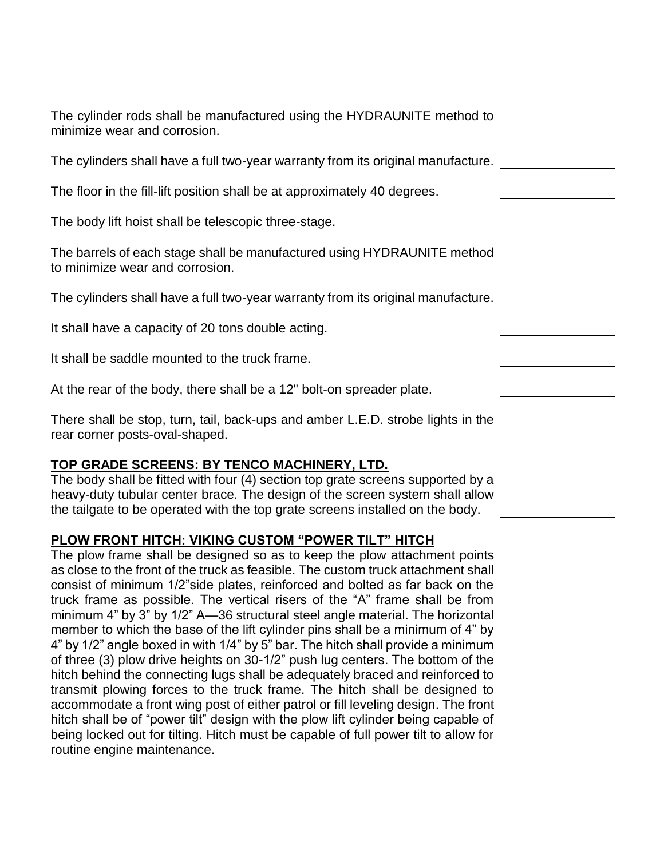| The cylinder rods shall be manufactured using the HYDRAUNITE method to<br>minimize wear and corrosion.                                                        |  |
|---------------------------------------------------------------------------------------------------------------------------------------------------------------|--|
| The cylinders shall have a full two-year warranty from its original manufacture.                                                                              |  |
| The floor in the fill-lift position shall be at approximately 40 degrees.                                                                                     |  |
| The body lift hoist shall be telescopic three-stage.                                                                                                          |  |
| The barrels of each stage shall be manufactured using HYDRAUNITE method<br>to minimize wear and corrosion.                                                    |  |
| The cylinders shall have a full two-year warranty from its original manufacture.                                                                              |  |
| It shall have a capacity of 20 tons double acting.                                                                                                            |  |
| It shall be saddle mounted to the truck frame.                                                                                                                |  |
| At the rear of the body, there shall be a 12" bolt-on spreader plate.                                                                                         |  |
| There shall be stop, turn, tail, back-ups and amber L.E.D. strobe lights in the<br>rear corner posts-oval-shaped.                                             |  |
| TOP GRADE SCREENS: BY TENCO MACHINERY, LTD.<br>$\sim$ 1 and $\sim$ 10 km $\sim$ 10 km $\sim$ 10 km $\sim$ 10 km $\sim$ 10 km $\sim$ 10 km $\sim$ 10 km $\sim$ |  |

The body shall be fitted with four (4) section top grate screens supported by a heavy-duty tubular center brace. The design of the screen system shall allow the tailgate to be operated with the top grate screens installed on the body.

# **PLOW FRONT HITCH: VIKING CUSTOM "POWER TILT" HITCH**

The plow frame shall be designed so as to keep the plow attachment points as close to the front of the truck as feasible. The custom truck attachment shall consist of minimum 1/2"side plates, reinforced and bolted as far back on the truck frame as possible. The vertical risers of the "A" frame shall be from minimum 4" by 3" by 1/2" A—36 structural steel angle material. The horizontal member to which the base of the lift cylinder pins shall be a minimum of 4" by 4" by 1/2" angle boxed in with 1/4" by 5" bar. The hitch shall provide a minimum of three (3) plow drive heights on 30-1/2" push lug centers. The bottom of the hitch behind the connecting lugs shall be adequately braced and reinforced to transmit plowing forces to the truck frame. The hitch shall be designed to accommodate a front wing post of either patrol or fill leveling design. The front hitch shall be of "power tilt" design with the plow lift cylinder being capable of being locked out for tilting. Hitch must be capable of full power tilt to allow for routine engine maintenance.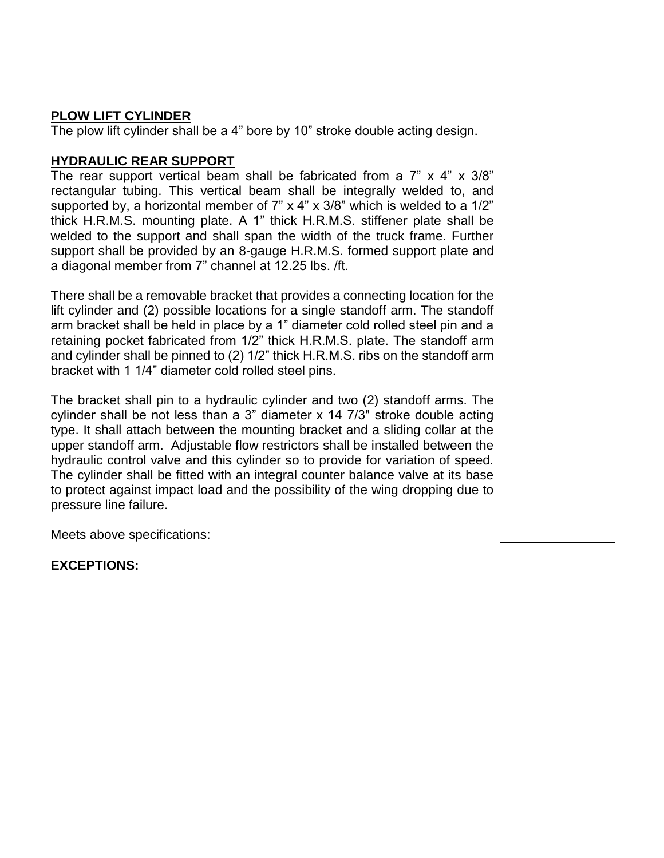# **PLOW LIFT CYLINDER**

The plow lift cylinder shall be a 4" bore by 10" stroke double acting design.

### **HYDRAULIC REAR SUPPORT**

The rear support vertical beam shall be fabricated from a  $7$ " x  $4$ " x  $3/8$ " rectangular tubing. This vertical beam shall be integrally welded to, and supported by, a horizontal member of 7" x 4" x 3/8" which is welded to a 1/2" thick H.R.M.S. mounting plate. A 1" thick H.R.M.S. stiffener plate shall be welded to the support and shall span the width of the truck frame. Further support shall be provided by an 8-gauge H.R.M.S. formed support plate and a diagonal member from 7" channel at 12.25 lbs. /ft.

There shall be a removable bracket that provides a connecting location for the lift cylinder and (2) possible locations for a single standoff arm. The standoff arm bracket shall be held in place by a 1" diameter cold rolled steel pin and a retaining pocket fabricated from 1/2" thick H.R.M.S. plate. The standoff arm and cylinder shall be pinned to (2) 1/2" thick H.R.M.S. ribs on the standoff arm bracket with 1 1/4" diameter cold rolled steel pins.

The bracket shall pin to a hydraulic cylinder and two (2) standoff arms. The cylinder shall be not less than a 3" diameter x 14 7/3" stroke double acting type. It shall attach between the mounting bracket and a sliding collar at the upper standoff arm. Adjustable flow restrictors shall be installed between the hydraulic control valve and this cylinder so to provide for variation of speed. The cylinder shall be fitted with an integral counter balance valve at its base to protect against impact load and the possibility of the wing dropping due to pressure line failure.

Meets above specifications:

### **EXCEPTIONS:**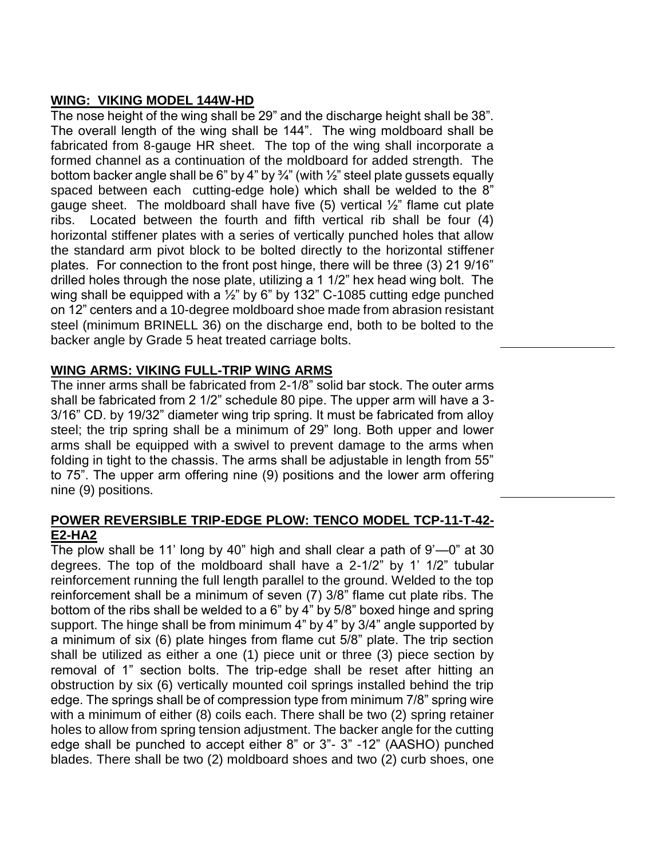# **WING: VIKING MODEL 144W-HD**

The nose height of the wing shall be 29" and the discharge height shall be 38". The overall length of the wing shall be 144". The wing moldboard shall be fabricated from 8-gauge HR sheet. The top of the wing shall incorporate a formed channel as a continuation of the moldboard for added strength. The bottom backer angle shall be 6" by 4" by  $\frac{3}{4}$ " (with  $\frac{1}{2}$ " steel plate gussets equally spaced between each cutting-edge hole) which shall be welded to the 8" gauge sheet. The moldboard shall have five  $(5)$  vertical  $\frac{1}{2}$ " flame cut plate ribs. Located between the fourth and fifth vertical rib shall be four (4) horizontal stiffener plates with a series of vertically punched holes that allow the standard arm pivot block to be bolted directly to the horizontal stiffener plates. For connection to the front post hinge, there will be three (3) 21 9/16" drilled holes through the nose plate, utilizing a 1 1/2" hex head wing bolt. The wing shall be equipped with a ½" by 6" by 132" C-1085 cutting edge punched on 12" centers and a 10-degree moldboard shoe made from abrasion resistant steel (minimum BRINELL 36) on the discharge end, both to be bolted to the backer angle by Grade 5 heat treated carriage bolts.

## **WING ARMS: VIKING FULL-TRIP WING ARMS**

The inner arms shall be fabricated from 2-1/8" solid bar stock. The outer arms shall be fabricated from 2 1/2" schedule 80 pipe. The upper arm will have a 3- 3/16" CD. by 19/32" diameter wing trip spring. It must be fabricated from alloy steel; the trip spring shall be a minimum of 29" long. Both upper and lower arms shall be equipped with a swivel to prevent damage to the arms when folding in tight to the chassis. The arms shall be adjustable in length from 55" to 75". The upper arm offering nine (9) positions and the lower arm offering nine (9) positions.

### **POWER REVERSIBLE TRIP-EDGE PLOW: TENCO MODEL TCP-11-T-42- E2-HA2**

The plow shall be 11' long by 40" high and shall clear a path of 9'—0" at 30 degrees. The top of the moldboard shall have a 2-1/2" by 1' 1/2" tubular reinforcement running the full length parallel to the ground. Welded to the top reinforcement shall be a minimum of seven (7) 3/8" flame cut plate ribs. The bottom of the ribs shall be welded to a 6" by 4" by 5/8" boxed hinge and spring support. The hinge shall be from minimum 4" by 4" by 3/4" angle supported by a minimum of six (6) plate hinges from flame cut 5/8" plate. The trip section shall be utilized as either a one (1) piece unit or three (3) piece section by removal of 1" section bolts. The trip-edge shall be reset after hitting an obstruction by six (6) vertically mounted coil springs installed behind the trip edge. The springs shall be of compression type from minimum 7/8" spring wire with a minimum of either (8) coils each. There shall be two (2) spring retainer holes to allow from spring tension adjustment. The backer angle for the cutting edge shall be punched to accept either 8" or 3"- 3" -12" (AASHO) punched blades. There shall be two (2) moldboard shoes and two (2) curb shoes, one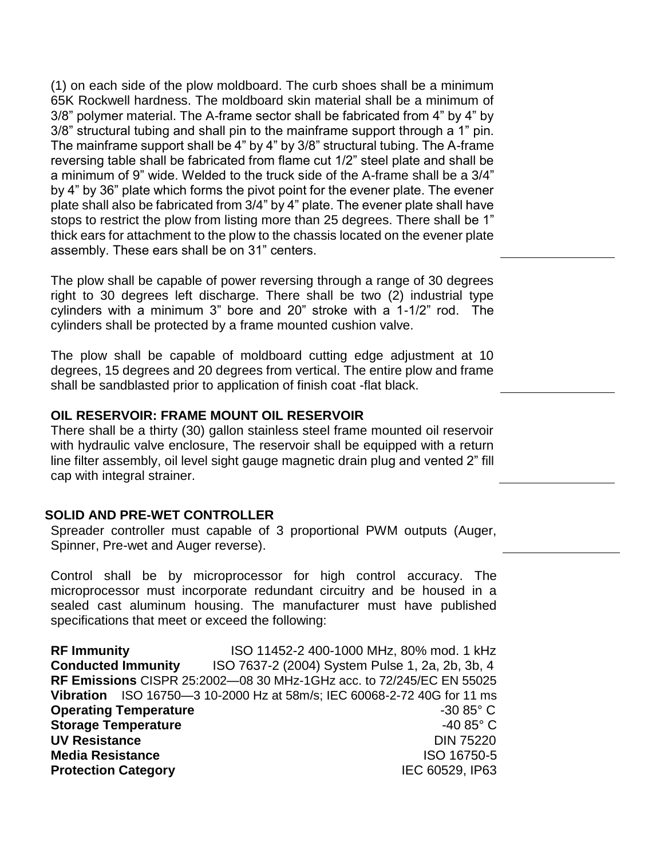(1) on each side of the plow moldboard. The curb shoes shall be a minimum 65K Rockwell hardness. The moldboard skin material shall be a minimum of 3/8" polymer material. The A-frame sector shall be fabricated from 4" by 4" by 3/8" structural tubing and shall pin to the mainframe support through a 1" pin. The mainframe support shall be 4" by 4" by 3/8" structural tubing. The A-frame reversing table shall be fabricated from flame cut 1/2" steel plate and shall be a minimum of 9" wide. Welded to the truck side of the A-frame shall be a 3/4" by 4" by 36" plate which forms the pivot point for the evener plate. The evener plate shall also be fabricated from 3/4" by 4" plate. The evener plate shall have stops to restrict the plow from listing more than 25 degrees. There shall be 1" thick ears for attachment to the plow to the chassis located on the evener plate assembly. These ears shall be on 31" centers.

The plow shall be capable of power reversing through a range of 30 degrees right to 30 degrees left discharge. There shall be two (2) industrial type cylinders with a minimum 3" bore and 20" stroke with a 1-1/2" rod. The cylinders shall be protected by a frame mounted cushion valve.

The plow shall be capable of moldboard cutting edge adjustment at 10 degrees, 15 degrees and 20 degrees from vertical. The entire plow and frame shall be sandblasted prior to application of finish coat -flat black.

#### **OIL RESERVOIR: FRAME MOUNT OIL RESERVOIR**

There shall be a thirty (30) gallon stainless steel frame mounted oil reservoir with hydraulic valve enclosure, The reservoir shall be equipped with a return line filter assembly, oil level sight gauge magnetic drain plug and vented 2" fill cap with integral strainer.

#### **SOLID AND PRE-WET CONTROLLER**

Spreader controller must capable of 3 proportional PWM outputs (Auger, Spinner, Pre-wet and Auger reverse).

Control shall be by microprocessor for high control accuracy. The microprocessor must incorporate redundant circuitry and be housed in a sealed cast aluminum housing. The manufacturer must have published specifications that meet or exceed the following:

**RF Immunity** ISO 11452-2 400-1000 MHz, 80% mod. 1 kHz **Conducted Immunity** ISO 7637-2 (2004) System Pulse 1, 2a, 2b, 3b, 4 **RF Emissions** CISPR 25:2002—08 30 MHz-1GHz acc. to 72/245/EC EN 55025 **Vibration** ISO 16750—3 10-2000 Hz at 58m/s; IEC 60068-2-72 40G for 11 ms **Operating Temperature** -30 85° C **Storage Temperature**  $-40.85^{\circ}$  C **UV Resistance** DIN 75220 **Media Resistance** ISO 16750-5 **Protection Category IEC 60529, IP63**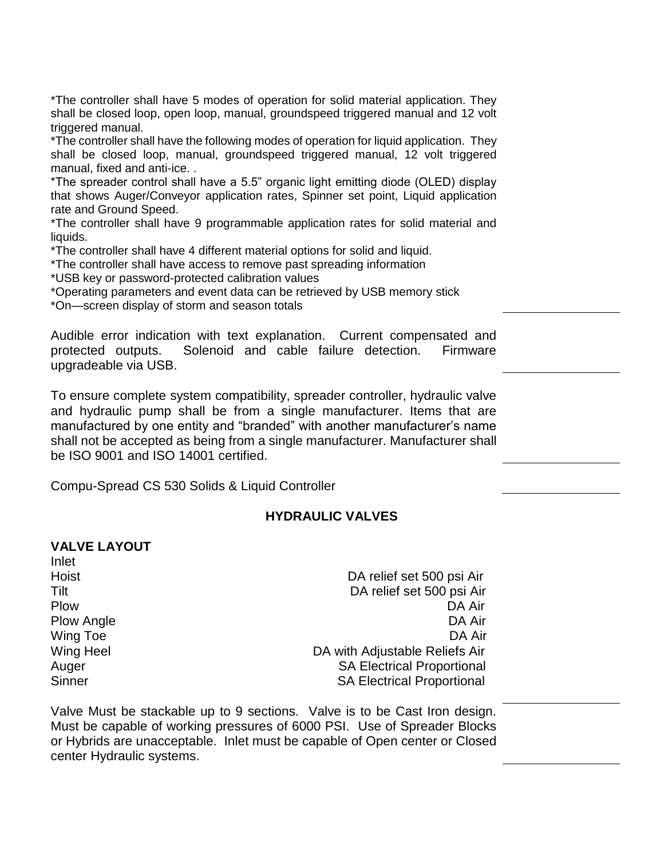\*The controller shall have 5 modes of operation for solid material application. They shall be closed loop, open loop, manual, groundspeed triggered manual and 12 volt triggered manual.

\*The controller shall have the following modes of operation for liquid application. They shall be closed loop, manual, groundspeed triggered manual, 12 volt triggered manual, fixed and anti-ice. .

\*The spreader control shall have a 5.5" organic light emitting diode (OLED) display that shows Auger/Conveyor application rates, Spinner set point, Liquid application rate and Ground Speed.

\*The controller shall have 9 programmable application rates for solid material and liquids.

\*The controller shall have 4 different material options for solid and liquid.

\*The controller shall have access to remove past spreading information

\*USB key or password-protected calibration values

\*Operating parameters and event data can be retrieved by USB memory stick

\*On—screen display of storm and season totals

Audible error indication with text explanation. Current compensated and protected outputs. Solenoid and cable failure detection. Firmware upgradeable via USB.

To ensure complete system compatibility, spreader controller, hydraulic valve and hydraulic pump shall be from a single manufacturer. Items that are manufactured by one entity and "branded" with another manufacturer's name shall not be accepted as being from a single manufacturer. Manufacturer shall be ISO 9001 and ISO 14001 certified.

Compu-Spread CS 530 Solids & Liquid Controller

### **HYDRAULIC VALVES**

#### **VALVE LAYOUT**

Inlet

Hoist DA relief set 500 psi Air Tilt DA relief set 500 psi Air Plow DA Air Plow Angle **DA Air DA Air** Wing Toe **DA Air** Wing Heel **DA** with Adjustable Reliefs Air Auger **SA Electrical Proportional** Sinner SA Electrical Proportional

Valve Must be stackable up to 9 sections. Valve is to be Cast Iron design. Must be capable of working pressures of 6000 PSI. Use of Spreader Blocks or Hybrids are unacceptable. Inlet must be capable of Open center or Closed center Hydraulic systems.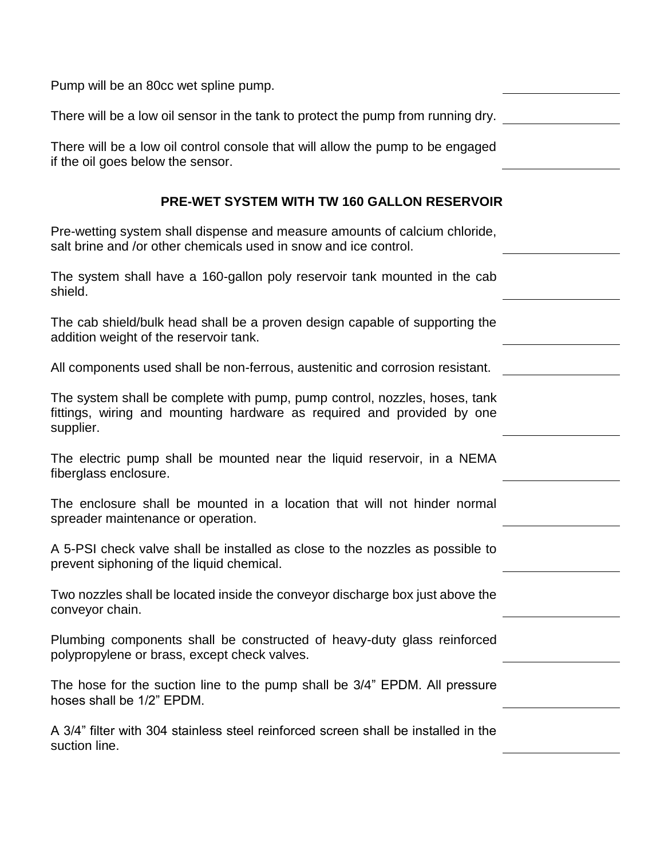| Pump will be an 80cc wet spline pump.                                                                                                                             |  |
|-------------------------------------------------------------------------------------------------------------------------------------------------------------------|--|
| There will be a low oil sensor in the tank to protect the pump from running dry.                                                                                  |  |
| There will be a low oil control console that will allow the pump to be engaged<br>if the oil goes below the sensor.                                               |  |
| <b>PRE-WET SYSTEM WITH TW 160 GALLON RESERVOIR</b>                                                                                                                |  |
| Pre-wetting system shall dispense and measure amounts of calcium chloride,<br>salt brine and /or other chemicals used in snow and ice control.                    |  |
| The system shall have a 160-gallon poly reservoir tank mounted in the cab<br>shield.                                                                              |  |
| The cab shield/bulk head shall be a proven design capable of supporting the<br>addition weight of the reservoir tank.                                             |  |
| All components used shall be non-ferrous, austenitic and corrosion resistant.                                                                                     |  |
| The system shall be complete with pump, pump control, nozzles, hoses, tank<br>fittings, wiring and mounting hardware as required and provided by one<br>supplier. |  |
| The electric pump shall be mounted near the liquid reservoir, in a NEMA<br>fiberglass enclosure.                                                                  |  |
| The enclosure shall be mounted in a location that will not hinder normal<br>spreader maintenance or operation.                                                    |  |
| A 5-PSI check valve shall be installed as close to the nozzles as possible to<br>prevent siphoning of the liquid chemical.                                        |  |
| Two nozzles shall be located inside the conveyor discharge box just above the<br>conveyor chain.                                                                  |  |
| Plumbing components shall be constructed of heavy-duty glass reinforced<br>polypropylene or brass, except check valves.                                           |  |
| The hose for the suction line to the pump shall be 3/4" EPDM. All pressure<br>hoses shall be 1/2" EPDM.                                                           |  |
| A 3/4" filter with 304 stainless steel reinforced screen shall be installed in the<br>suction line.                                                               |  |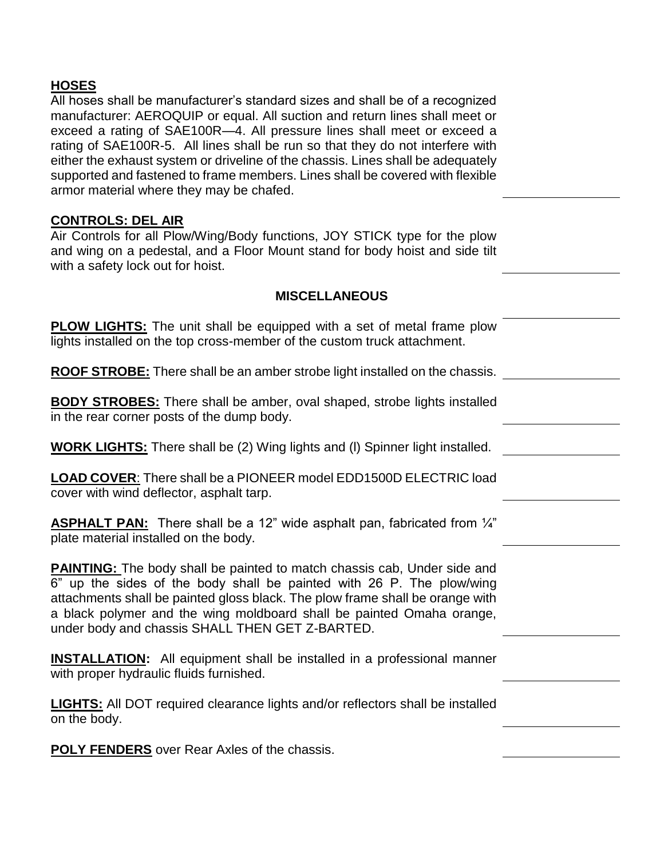### **HOSES**

All hoses shall be manufacturer's standard sizes and shall be of a recognized manufacturer: AEROQUIP or equal. All suction and return lines shall meet or exceed a rating of SAE100R—4. All pressure lines shall meet or exceed a rating of SAE100R-5. All lines shall be run so that they do not interfere with either the exhaust system or driveline of the chassis. Lines shall be adequately supported and fastened to frame members. Lines shall be covered with flexible armor material where they may be chafed.

### **CONTROLS: DEL AIR**

Air Controls for all Plow/Wing/Body functions, JOY STICK type for the plow and wing on a pedestal, and a Floor Mount stand for body hoist and side tilt with a safety lock out for hoist.

### **MISCELLANEOUS**

| <b>PLOW LIGHTS:</b> The unit shall be equipped with a set of metal frame plow<br>lights installed on the top cross-member of the custom truck attachment.                                                                                                                                                                                                             |  |
|-----------------------------------------------------------------------------------------------------------------------------------------------------------------------------------------------------------------------------------------------------------------------------------------------------------------------------------------------------------------------|--|
| <b>ROOF STROBE:</b> There shall be an amber strobe light installed on the chassis.                                                                                                                                                                                                                                                                                    |  |
| <b>BODY STROBES:</b> There shall be amber, oval shaped, strobe lights installed<br>in the rear corner posts of the dump body.                                                                                                                                                                                                                                         |  |
| <b>WORK LIGHTS:</b> There shall be (2) Wing lights and (I) Spinner light installed.                                                                                                                                                                                                                                                                                   |  |
| <b>LOAD COVER:</b> There shall be a PIONEER model EDD1500D ELECTRIC load<br>cover with wind deflector, asphalt tarp.                                                                                                                                                                                                                                                  |  |
| <b>ASPHALT PAN:</b> There shall be a 12" wide asphalt pan, fabricated from 1/4"<br>plate material installed on the body.                                                                                                                                                                                                                                              |  |
| <b>PAINTING:</b> The body shall be painted to match chassis cab, Under side and<br>6" up the sides of the body shall be painted with 26 P. The plow/wing<br>attachments shall be painted gloss black. The plow frame shall be orange with<br>a black polymer and the wing moldboard shall be painted Omaha orange,<br>under body and chassis SHALL THEN GET Z-BARTED. |  |
| <b>INSTALLATION:</b> All equipment shall be installed in a professional manner<br>with proper hydraulic fluids furnished.                                                                                                                                                                                                                                             |  |
| <b>LIGHTS:</b> All DOT required clearance lights and/or reflectors shall be installed<br>on the body.                                                                                                                                                                                                                                                                 |  |
| <b>POLY FENDERS</b> over Rear Axles of the chassis.                                                                                                                                                                                                                                                                                                                   |  |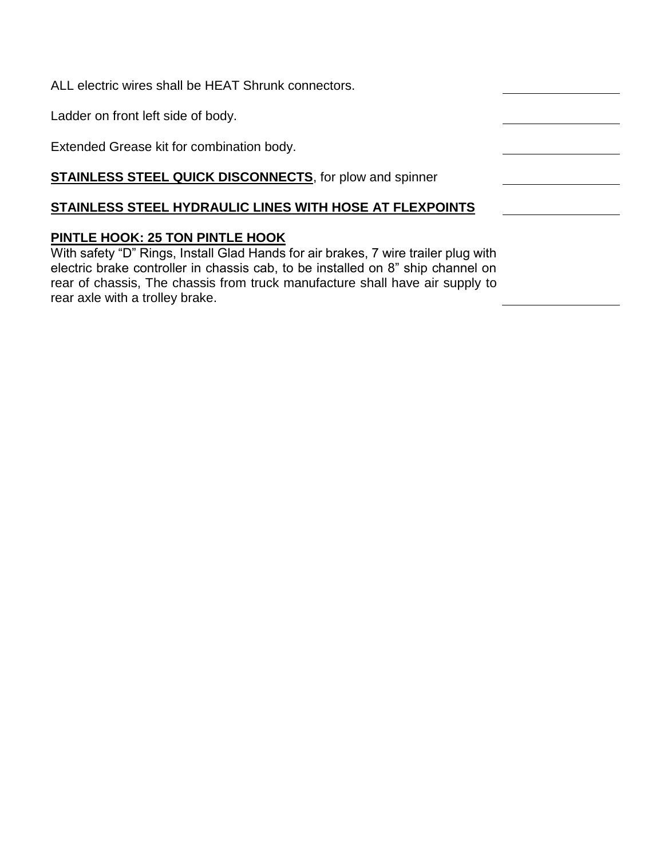ALL electric wires shall be HEAT Shrunk connectors.

Ladder on front left side of body.

Extended Grease kit for combination body.

# **STAINLESS STEEL QUICK DISCONNECTS**, for plow and spinner

# **STAINLESS STEEL HYDRAULIC LINES WITH HOSE AT FLEXPOINTS**

#### **PINTLE HOOK: 25 TON PINTLE HOOK**

With safety "D" Rings, Install Glad Hands for air brakes, 7 wire trailer plug with electric brake controller in chassis cab, to be installed on 8" ship channel on rear of chassis, The chassis from truck manufacture shall have air supply to rear axle with a trolley brake.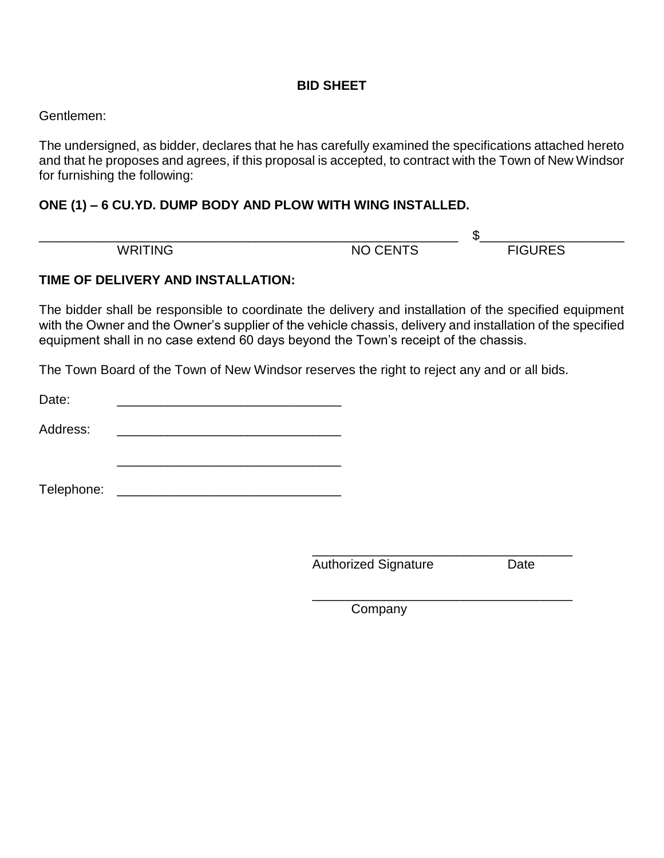### **BID SHEET**

Gentlemen:

The undersigned, as bidder, declares that he has carefully examined the specifications attached hereto and that he proposes and agrees, if this proposal is accepted, to contract with the Town of New Windsor for furnishing the following:

# **ONE (1) – 6 CU.YD. DUMP BODY AND PLOW WITH WING INSTALLED.**

|   |            | - 11  |
|---|------------|-------|
| w | $ -$<br>NK | - - - |

#### **TIME OF DELIVERY AND INSTALLATION:**

The bidder shall be responsible to coordinate the delivery and installation of the specified equipment with the Owner and the Owner's supplier of the vehicle chassis, delivery and installation of the specified equipment shall in no case extend 60 days beyond the Town's receipt of the chassis.

The Town Board of the Town of New Windsor reserves the right to reject any and or all bids.

Date: \_\_\_\_\_\_\_\_\_\_\_\_\_\_\_\_\_\_\_\_\_\_\_\_\_\_\_\_\_\_\_

Address:

Telephone: \_\_\_\_\_\_\_\_\_\_\_\_\_\_\_\_\_\_\_\_\_\_\_\_\_\_\_\_\_\_\_

\_\_\_\_\_\_\_\_\_\_\_\_\_\_\_\_\_\_\_\_\_\_\_\_\_\_\_\_\_\_\_

Authorized Signature **Date** 

\_\_\_\_\_\_\_\_\_\_\_\_\_\_\_\_\_\_\_\_\_\_\_\_\_\_\_\_\_\_\_\_\_\_\_\_

\_\_\_\_\_\_\_\_\_\_\_\_\_\_\_\_\_\_\_\_\_\_\_\_\_\_\_\_\_\_\_\_\_\_\_\_

Company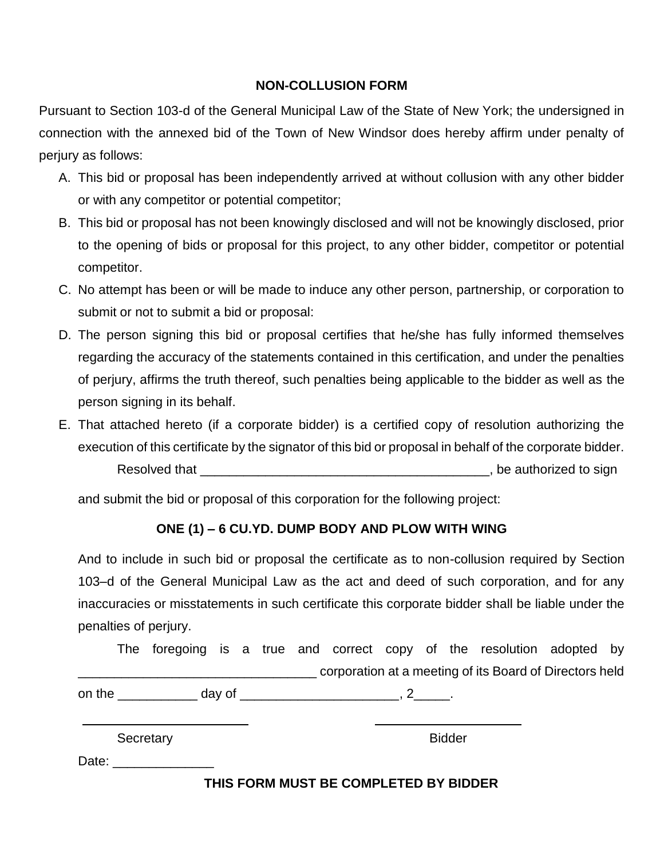## **NON-COLLUSION FORM**

Pursuant to Section 103-d of the General Municipal Law of the State of New York; the undersigned in connection with the annexed bid of the Town of New Windsor does hereby affirm under penalty of perjury as follows:

- A. This bid or proposal has been independently arrived at without collusion with any other bidder or with any competitor or potential competitor;
- B. This bid or proposal has not been knowingly disclosed and will not be knowingly disclosed, prior to the opening of bids or proposal for this project, to any other bidder, competitor or potential competitor.
- C. No attempt has been or will be made to induce any other person, partnership, or corporation to submit or not to submit a bid or proposal:
- D. The person signing this bid or proposal certifies that he/she has fully informed themselves regarding the accuracy of the statements contained in this certification, and under the penalties of perjury, affirms the truth thereof, such penalties being applicable to the bidder as well as the person signing in its behalf.
- E. That attached hereto (if a corporate bidder) is a certified copy of resolution authorizing the execution of this certificate by the signator of this bid or proposal in behalf of the corporate bidder. Resolved that \_\_\_\_\_\_\_\_\_\_\_\_\_\_\_\_\_\_\_\_\_\_\_\_\_\_\_\_\_\_\_\_\_\_\_\_\_\_\_\_, be authorized to sign

and submit the bid or proposal of this corporation for the following project:

# **ONE (1) – 6 CU.YD. DUMP BODY AND PLOW WITH WING**

And to include in such bid or proposal the certificate as to non-collusion required by Section 103–d of the General Municipal Law as the act and deed of such corporation, and for any inaccuracies or misstatements in such certificate this corporate bidder shall be liable under the penalties of perjury.

|           |  |  |  |  |  |               |  | The foregoing is a true and correct copy of the resolution adopted by |  |
|-----------|--|--|--|--|--|---------------|--|-----------------------------------------------------------------------|--|
|           |  |  |  |  |  |               |  | corporation at a meeting of its Board of Directors held               |  |
|           |  |  |  |  |  |               |  |                                                                       |  |
| Secretary |  |  |  |  |  | <b>Bidder</b> |  |                                                                       |  |

**THIS FORM MUST BE COMPLETED BY BIDDER**

Date:  $\Box$